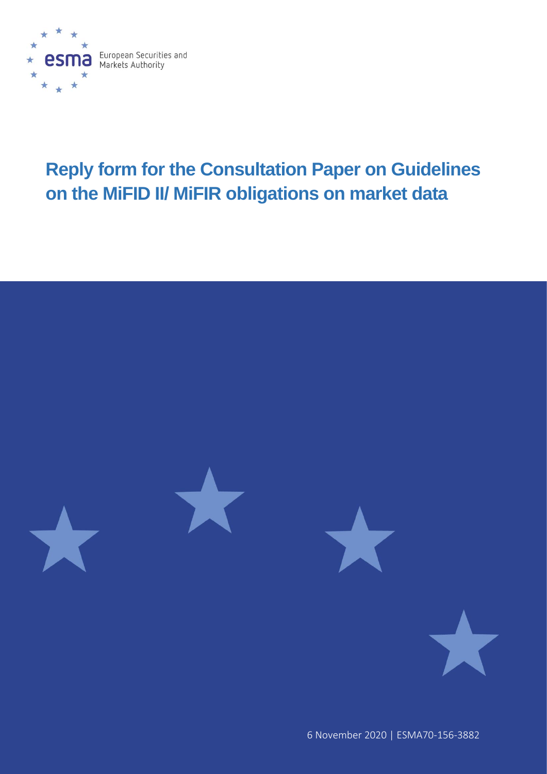

# **Reply form for the Consultation Paper on Guidelines on the MiFID II/ MiFIR obligations on market data**



6 November 2020 | ESMA70-156-3882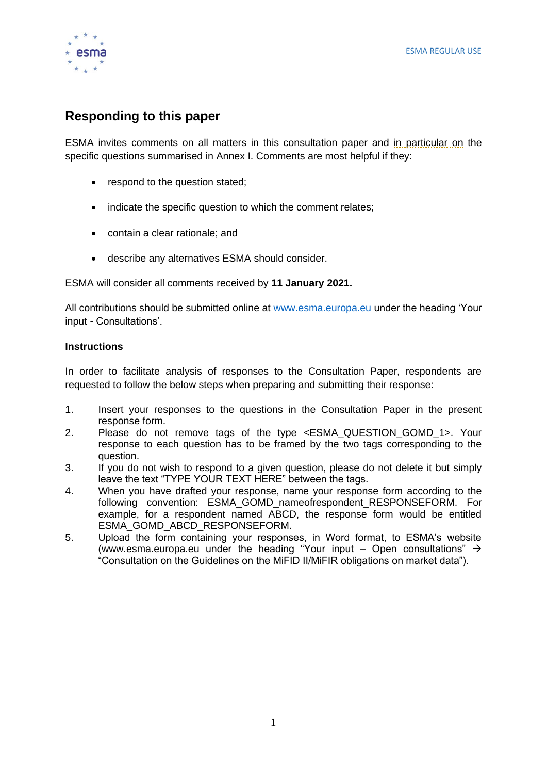

## **Responding to this paper**

ESMA invites comments on all matters in this consultation paper and in particular on the specific questions summarised in Annex I. Comments are most helpful if they:

- respond to the question stated;
- indicate the specific question to which the comment relates;
- contain a clear rationale; and
- describe any alternatives ESMA should consider.

ESMA will consider all comments received by **11 January 2021.** 

All contributions should be submitted online at [www.esma.europa.eu](http://www.esma.europa.eu/) under the heading 'Your input - Consultations'.

#### **Instructions**

In order to facilitate analysis of responses to the Consultation Paper, respondents are requested to follow the below steps when preparing and submitting their response:

- 1. Insert your responses to the questions in the Consultation Paper in the present response form.
- 2. Please do not remove tags of the type <ESMA\_QUESTION\_GOMD\_1>. Your response to each question has to be framed by the two tags corresponding to the question.
- 3. If you do not wish to respond to a given question, please do not delete it but simply leave the text "TYPE YOUR TEXT HERE" between the tags.
- 4. When you have drafted your response, name your response form according to the following convention: ESMA\_GOMD\_nameofrespondent\_RESPONSEFORM. For example, for a respondent named ABCD, the response form would be entitled ESMA\_GOMD\_ABCD\_RESPONSEFORM.
- 5. Upload the form containing your responses, in Word format, to ESMA's website [\(www.esma.europa.eu](http://www.esma.europa.eu/) under the heading "Your input – Open consultations"  $\rightarrow$ "Consultation on the Guidelines on the MiFID II/MiFIR obligations on market data").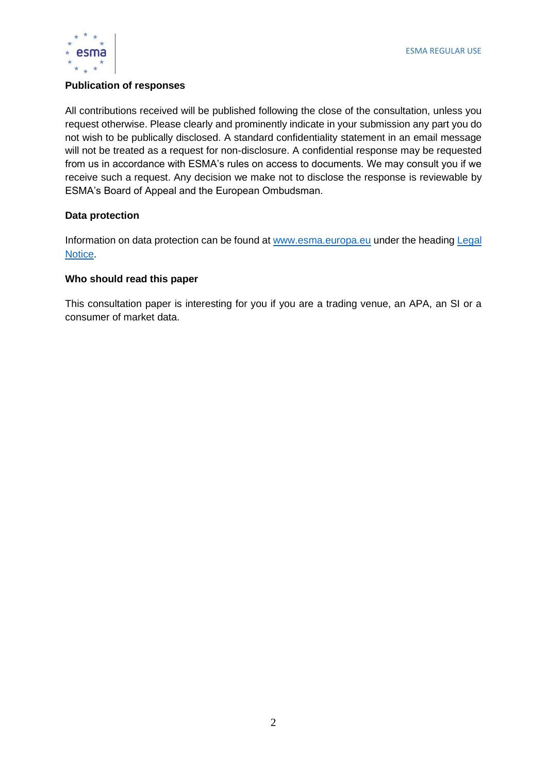

#### **Publication of responses**

All contributions received will be published following the close of the consultation, unless you request otherwise. Please clearly and prominently indicate in your submission any part you do not wish to be publically disclosed. A standard confidentiality statement in an email message will not be treated as a request for non-disclosure. A confidential response may be requested from us in accordance with ESMA's rules on access to documents. We may consult you if we receive such a request. Any decision we make not to disclose the response is reviewable by ESMA's Board of Appeal and the European Ombudsman.

#### **Data protection**

Information on data protection can be found at [www.esma.europa.eu](http://www.esma.europa.eu/) under the heading [Legal](http://www.esma.europa.eu/legal-notice)  [Notice.](http://www.esma.europa.eu/legal-notice)

#### **Who should read this paper**

This consultation paper is interesting for you if you are a trading venue, an APA, an SI or a consumer of market data.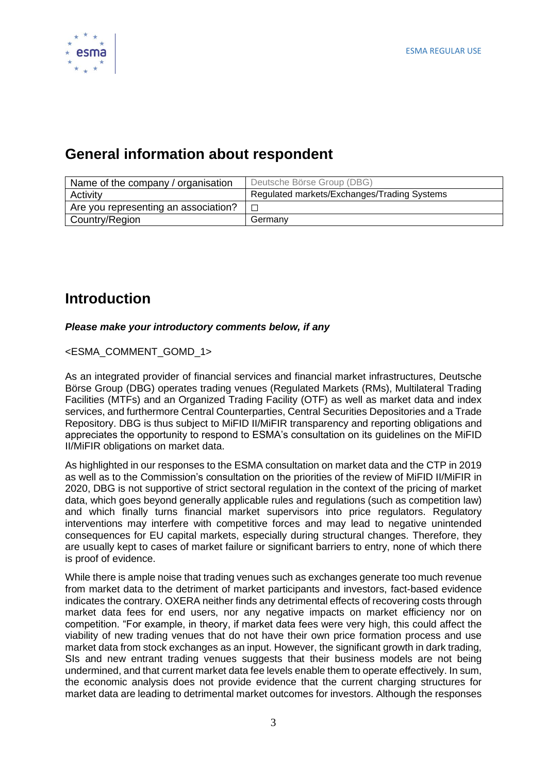

## **General information about respondent**

| Name of the company / organisation   | Deutsche Börse Group (DBG)                  |
|--------------------------------------|---------------------------------------------|
| Activity                             | Regulated markets/Exchanges/Trading Systems |
| Are you representing an association? |                                             |
| Country/Region                       | Germany                                     |

## **Introduction**

#### *Please make your introductory comments below, if any*

<ESMA\_COMMENT\_GOMD\_1>

As an integrated provider of financial services and financial market infrastructures, Deutsche Börse Group (DBG) operates trading venues (Regulated Markets (RMs), Multilateral Trading Facilities (MTFs) and an Organized Trading Facility (OTF) as well as market data and index services, and furthermore Central Counterparties, Central Securities Depositories and a Trade Repository. DBG is thus subject to MiFID II/MiFIR transparency and reporting obligations and appreciates the opportunity to respond to ESMA's consultation on its guidelines on the MiFID II/MiFIR obligations on market data.

As highlighted in our responses to the ESMA consultation on market data and the CTP in 2019 as well as to the Commission's consultation on the priorities of the review of MiFID II/MiFIR in 2020, DBG is not supportive of strict sectoral regulation in the context of the pricing of market data, which goes beyond generally applicable rules and regulations (such as competition law) and which finally turns financial market supervisors into price regulators. Regulatory interventions may interfere with competitive forces and may lead to negative unintended consequences for EU capital markets, especially during structural changes. Therefore, they are usually kept to cases of market failure or significant barriers to entry, none of which there is proof of evidence.

While there is ample noise that trading venues such as exchanges generate too much revenue from market data to the detriment of market participants and investors, fact-based evidence indicates the contrary. OXERA neither finds any detrimental effects of recovering costs through market data fees for end users, nor any negative impacts on market efficiency nor on competition. "For example, in theory, if market data fees were very high, this could affect the viability of new trading venues that do not have their own price formation process and use market data from stock exchanges as an input. However, the significant growth in dark trading, SIs and new entrant trading venues suggests that their business models are not being undermined, and that current market data fee levels enable them to operate effectively. In sum, the economic analysis does not provide evidence that the current charging structures for market data are leading to detrimental market outcomes for investors. Although the responses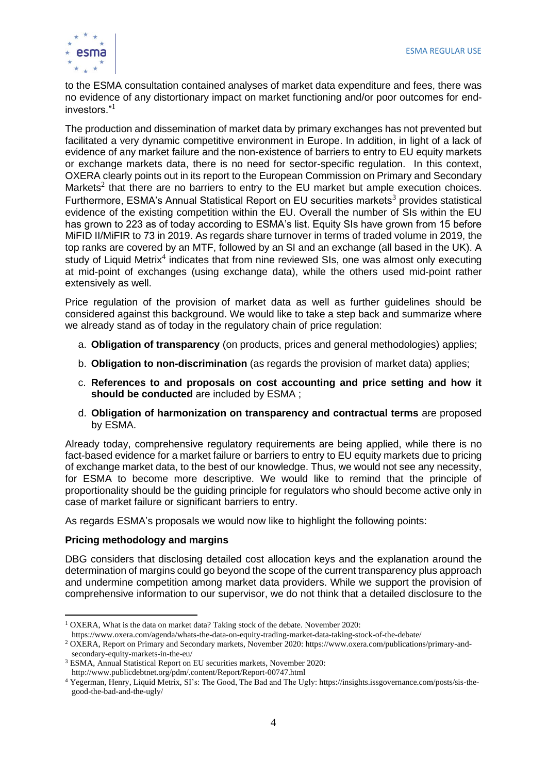

to the ESMA consultation contained analyses of market data expenditure and fees, there was no evidence of any distortionary impact on market functioning and/or poor outcomes for endinvestors."<sup>1</sup>

The production and dissemination of market data by primary exchanges has not prevented but facilitated a very dynamic competitive environment in Europe. In addition, in light of a lack of evidence of any market failure and the non-existence of barriers to entry to EU equity markets or exchange markets data, there is no need for sector-specific regulation. In this context, OXERA clearly points out in its report to the European Commission on Primary and Secondary Markets<sup>2</sup> that there are no barriers to entry to the EU market but ample execution choices. Furthermore, ESMA's Annual Statistical Report on EU securities markets<sup>3</sup> provides statistical evidence of the existing competition within the EU. Overall the number of SIs within the EU has grown to 223 as of today according to ESMA's list. Equity SIs have grown from 15 before MiFID II/MiFIR to 73 in 2019. As regards share turnover in terms of traded volume in 2019, the top ranks are covered by an MTF, followed by an SI and an exchange (all based in the UK). A study of Liquid Metrix<sup>4</sup> indicates that from nine reviewed SIs, one was almost only executing at mid-point of exchanges (using exchange data), while the others used mid-point rather extensively as well.

Price regulation of the provision of market data as well as further guidelines should be considered against this background. We would like to take a step back and summarize where we already stand as of today in the regulatory chain of price regulation:

- a. **Obligation of transparency** (on products, prices and general methodologies) applies;
- b. **Obligation to non-discrimination** (as regards the provision of market data) applies;
- c. **References to and proposals on cost accounting and price setting and how it should be conducted** are included by ESMA ;
- d. **Obligation of harmonization on transparency and contractual terms** are proposed by ESMA.

Already today, comprehensive regulatory requirements are being applied, while there is no fact-based evidence for a market failure or barriers to entry to EU equity markets due to pricing of exchange market data, to the best of our knowledge. Thus, we would not see any necessity, for ESMA to become more descriptive. We would like to remind that the principle of proportionality should be the guiding principle for regulators who should become active only in case of market failure or significant barriers to entry.

As regards ESMA's proposals we would now like to highlight the following points:

#### **Pricing methodology and margins**

DBG considers that disclosing detailed cost allocation keys and the explanation around the determination of margins could go beyond the scope of the current transparency plus approach and undermine competition among market data providers. While we support the provision of comprehensive information to our supervisor, we do not think that a detailed disclosure to the

<sup>&</sup>lt;sup>1</sup> OXERA, What is the data on market data? Taking stock of the debate. November 2020:

https://www.oxera.com/agenda/whats-the-data-on-equity-trading-market-data-taking-stock-of-the-debate/

<sup>2</sup> OXERA, Report on Primary and Secondary markets, November 2020: https://www.oxera.com/publications/primary-andsecondary-equity-markets-in-the-eu/

<sup>3</sup> ESMA, Annual Statistical Report on EU securities markets, November 2020: http://www.publicdebtnet.org/pdm/.content/Report/Report-00747.html

<sup>4</sup> Yegerman, Henry, Liquid Metrix, SI's: The Good, The Bad and The Ugly: https://insights.issgovernance.com/posts/sis-thegood-the-bad-and-the-ugly/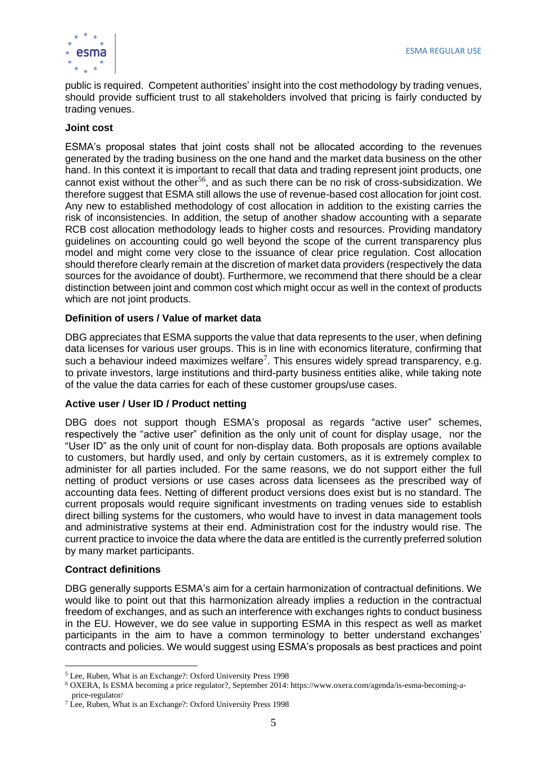

public is required. Competent authorities' insight into the cost methodology by trading venues, should provide sufficient trust to all stakeholders involved that pricing is fairly conducted by trading venues.

#### **Joint cost**

ESMA's proposal states that joint costs shall not be allocated according to the revenues generated by the trading business on the one hand and the market data business on the other hand. In this context it is important to recall that data and trading represent joint products, one cannot exist without the other<sup>56</sup>, and as such there can be no risk of cross-subsidization. We therefore suggest that ESMA still allows the use of revenue-based cost allocation for joint cost. Any new to established methodology of cost allocation in addition to the existing carries the risk of inconsistencies. In addition, the setup of another shadow accounting with a separate RCB cost allocation methodology leads to higher costs and resources. Providing mandatory guidelines on accounting could go well beyond the scope of the current transparency plus model and might come very close to the issuance of clear price regulation. Cost allocation should therefore clearly remain at the discretion of market data providers (respectively the data sources for the avoidance of doubt). Furthermore, we recommend that there should be a clear distinction between joint and common cost which might occur as well in the context of products which are not joint products.

#### **Definition of users / Value of market data**

DBG appreciates that ESMA supports the value that data represents to the user, when defining data licenses for various user groups. This is in line with economics literature, confirming that such a behaviour indeed maximizes welfare<sup>7</sup>. This ensures widely spread transparency, e.g. to private investors, large institutions and third-party business entities alike, while taking note of the value the data carries for each of these customer groups/use cases.

#### **Active user / User ID / Product netting**

DBG does not support though ESMA's proposal as regards "active user" schemes, respectively the "active user" definition as the only unit of count for display usage, nor the "User ID" as the only unit of count for non-display data. Both proposals are options available to customers, but hardly used, and only by certain customers, as it is extremely complex to administer for all parties included. For the same reasons, we do not support either the full netting of product versions or use cases across data licensees as the prescribed way of accounting data fees. Netting of different product versions does exist but is no standard. The current proposals would require significant investments on trading venues side to establish direct billing systems for the customers, who would have to invest in data management tools and administrative systems at their end. Administration cost for the industry would rise. The current practice to invoice the data where the data are entitled is the currently preferred solution by many market participants.

#### **Contract definitions**

DBG generally supports ESMA's aim for a certain harmonization of contractual definitions. We would like to point out that this harmonization already implies a reduction in the contractual freedom of exchanges, and as such an interference with exchanges rights to conduct business in the EU. However, we do see value in supporting ESMA in this respect as well as market participants in the aim to have a common terminology to better understand exchanges' contracts and policies. We would suggest using ESMA's proposals as best practices and point

<sup>5</sup> Lee, Ruben, What is an Exchange?: Oxford University Press 1998

<sup>6</sup> OXERA, Is ESMA becoming a price regulator?, September 2014: https://www.oxera.com/agenda/is-esma-becoming-aprice-regulator/

<sup>7</sup> Lee, Ruben, What is an Exchange?: Oxford University Press 1998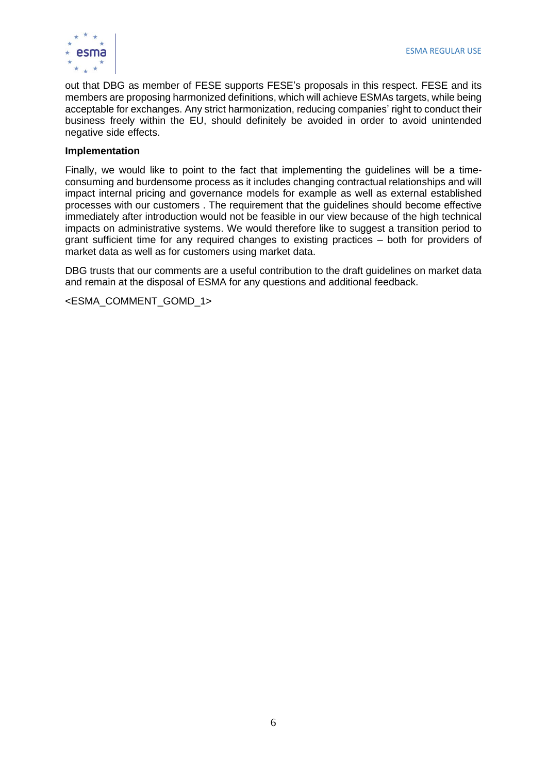

out that DBG as member of FESE supports FESE's proposals in this respect. FESE and its members are proposing harmonized definitions, which will achieve ESMAs targets, while being acceptable for exchanges. Any strict harmonization, reducing companies' right to conduct their business freely within the EU, should definitely be avoided in order to avoid unintended negative side effects.

#### **Implementation**

Finally, we would like to point to the fact that implementing the guidelines will be a timeconsuming and burdensome process as it includes changing contractual relationships and will impact internal pricing and governance models for example as well as external established processes with our customers . The requirement that the guidelines should become effective immediately after introduction would not be feasible in our view because of the high technical impacts on administrative systems. We would therefore like to suggest a transition period to grant sufficient time for any required changes to existing practices – both for providers of market data as well as for customers using market data.

DBG trusts that our comments are a useful contribution to the draft guidelines on market data and remain at the disposal of ESMA for any questions and additional feedback.

<ESMA\_COMMENT\_GOMD\_1>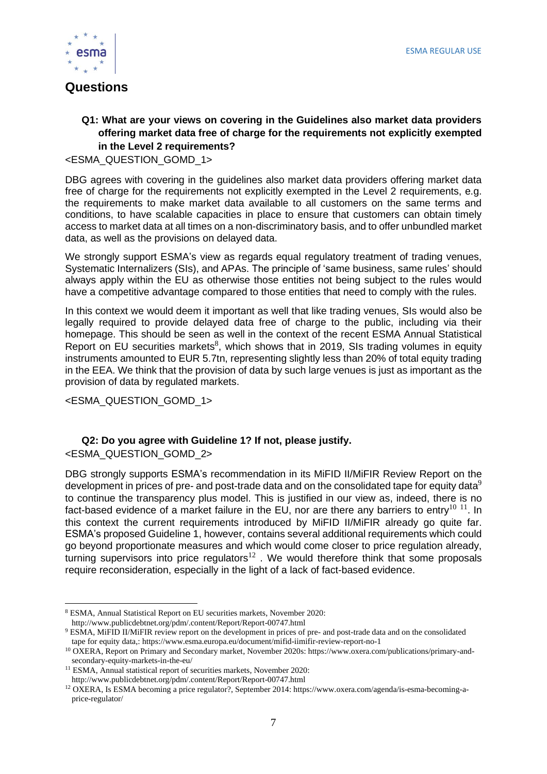

## **Questions**

#### **Q1: What are your views on covering in the Guidelines also market data providers offering market data free of charge for the requirements not explicitly exempted in the Level 2 requirements?**

<ESMA\_QUESTION\_GOMD\_1>

DBG agrees with covering in the guidelines also market data providers offering market data free of charge for the requirements not explicitly exempted in the Level 2 requirements, e.g. the requirements to make market data available to all customers on the same terms and conditions, to have scalable capacities in place to ensure that customers can obtain timely access to market data at all times on a non-discriminatory basis, and to offer unbundled market data, as well as the provisions on delayed data.

We strongly support ESMA's view as regards equal regulatory treatment of trading venues, Systematic Internalizers (SIs), and APAs. The principle of 'same business, same rules' should always apply within the EU as otherwise those entities not being subject to the rules would have a competitive advantage compared to those entities that need to comply with the rules.

In this context we would deem it important as well that like trading venues, SIs would also be legally required to provide delayed data free of charge to the public, including via their homepage. This should be seen as well in the context of the recent ESMA Annual Statistical Report on EU securities markets ${}^{8}$ , which shows that in 2019, SIs trading volumes in equity instruments amounted to EUR 5.7tn, representing slightly less than 20% of total equity trading in the EEA. We think that the provision of data by such large venues is just as important as the provision of data by regulated markets.

<ESMA\_QUESTION\_GOMD\_1>

## **Q2: Do you agree with Guideline 1? If not, please justify.**

<ESMA\_QUESTION\_GOMD\_2>

DBG strongly supports ESMA's recommendation in its MiFID II/MiFIR Review Report on the development in prices of pre- and post-trade data and on the consolidated tape for equity data<sup>9</sup> to continue the transparency plus model. This is justified in our view as, indeed, there is no fact-based evidence of a market failure in the EU, nor are there any barriers to entry<sup>10 11</sup>. In this context the current requirements introduced by MiFID II/MiFIR already go quite far. ESMA's proposed Guideline 1, however, contains several additional requirements which could go beyond proportionate measures and which would come closer to price regulation already, turning supervisors into price regulators $^{12}$  . We would therefore think that some proposals require reconsideration, especially in the light of a lack of fact-based evidence.

<sup>8</sup> ESMA, Annual Statistical Report on EU securities markets, November 2020:

http://www.publicdebtnet.org/pdm/.content/Report/Report-00747.html

<sup>9</sup> ESMA, MiFID II/MiFIR review report on the development in prices of pre- and post-trade data and on the consolidated tape for equity data,: https://www.esma.europa.eu/document/mifid-iimifir-review-report-no-1

<sup>&</sup>lt;sup>10</sup> OXERA, Report on Primary and Secondary market, November 2020s: https://www.oxera.com/publications/primary-andsecondary-equity-markets-in-the-eu/

<sup>&</sup>lt;sup>11</sup> ESMA, Annual statistical report of securities markets, November 2020:

http://www.publicdebtnet.org/pdm/.content/Report/Report-00747.html

<sup>12</sup> OXERA, Is ESMA becoming a price regulator?, September 2014: https://www.oxera.com/agenda/is-esma-becoming-aprice-regulator/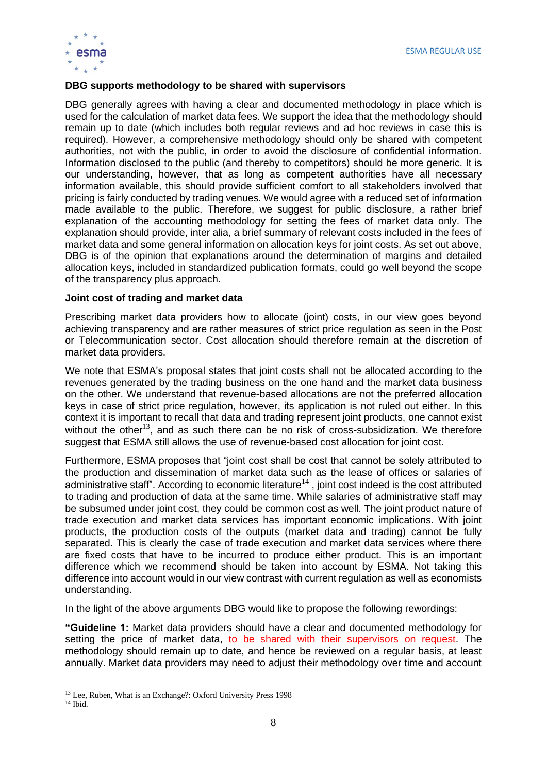

#### **DBG supports methodology to be shared with supervisors**

DBG generally agrees with having a clear and documented methodology in place which is used for the calculation of market data fees. We support the idea that the methodology should remain up to date (which includes both regular reviews and ad hoc reviews in case this is required). However, a comprehensive methodology should only be shared with competent authorities, not with the public, in order to avoid the disclosure of confidential information. Information disclosed to the public (and thereby to competitors) should be more generic. It is our understanding, however, that as long as competent authorities have all necessary information available, this should provide sufficient comfort to all stakeholders involved that pricing is fairly conducted by trading venues. We would agree with a reduced set of information made available to the public. Therefore, we suggest for public disclosure, a rather brief explanation of the accounting methodology for setting the fees of market data only. The explanation should provide, inter alia, a brief summary of relevant costs included in the fees of market data and some general information on allocation keys for joint costs. As set out above, DBG is of the opinion that explanations around the determination of margins and detailed allocation keys, included in standardized publication formats, could go well beyond the scope of the transparency plus approach.

#### **Joint cost of trading and market data**

Prescribing market data providers how to allocate (joint) costs, in our view goes beyond achieving transparency and are rather measures of strict price regulation as seen in the Post or Telecommunication sector. Cost allocation should therefore remain at the discretion of market data providers.

We note that ESMA's proposal states that joint costs shall not be allocated according to the revenues generated by the trading business on the one hand and the market data business on the other. We understand that revenue-based allocations are not the preferred allocation keys in case of strict price regulation, however, its application is not ruled out either. In this context it is important to recall that data and trading represent joint products, one cannot exist without the other<sup>13</sup>, and as such there can be no risk of cross-subsidization. We therefore suggest that ESMA still allows the use of revenue-based cost allocation for joint cost.

Furthermore, ESMA proposes that "joint cost shall be cost that cannot be solely attributed to the production and dissemination of market data such as the lease of offices or salaries of administrative staff". According to economic literature $^{14}$  , joint cost indeed is the cost attributed to trading and production of data at the same time. While salaries of administrative staff may be subsumed under joint cost, they could be common cost as well. The joint product nature of trade execution and market data services has important economic implications. With joint products, the production costs of the outputs (market data and trading) cannot be fully separated. This is clearly the case of trade execution and market data services where there are fixed costs that have to be incurred to produce either product. This is an important difference which we recommend should be taken into account by ESMA. Not taking this difference into account would in our view contrast with current regulation as well as economists understanding.

In the light of the above arguments DBG would like to propose the following rewordings:

**"Guideline 1:** Market data providers should have a clear and documented methodology for setting the price of market data, to be shared with their supervisors on request. The methodology should remain up to date, and hence be reviewed on a regular basis, at least annually. Market data providers may need to adjust their methodology over time and account

<sup>13</sup> Lee, Ruben, What is an Exchange?: Oxford University Press 1998

<sup>14</sup> Ibid.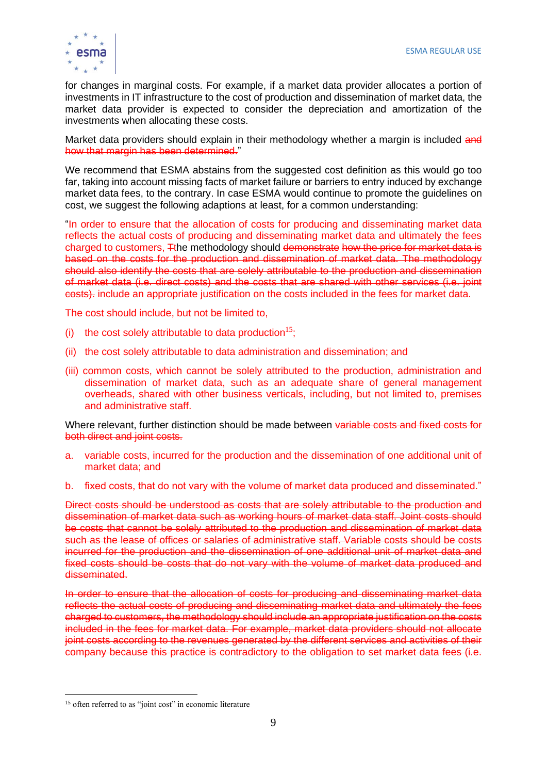

for changes in marginal costs. For example, if a market data provider allocates a portion of investments in IT infrastructure to the cost of production and dissemination of market data, the market data provider is expected to consider the depreciation and amortization of the investments when allocating these costs.

Market data providers should explain in their methodology whether a margin is included and how that margin has been determined."

We recommend that ESMA abstains from the suggested cost definition as this would go too far, taking into account missing facts of market failure or barriers to entry induced by exchange market data fees, to the contrary. In case ESMA would continue to promote the guidelines on cost, we suggest the following adaptions at least, for a common understanding:

"In order to ensure that the allocation of costs for producing and disseminating market data reflects the actual costs of producing and disseminating market data and ultimately the fees charged to customers, Tthe methodology should demonstrate how the price for market data is based on the costs for the production and dissemination of market data. The methodology should also identify the costs that are solely attributable to the production and dissemination of market data (i.e. direct costs) and the costs that are shared with other services (i.e. joint costs). include an appropriate justification on the costs included in the fees for market data.

The cost should include, but not be limited to,

- (i) the cost solely attributable to data production<sup>15</sup>;
- (ii) the cost solely attributable to data administration and dissemination; and
- (iii) common costs, which cannot be solely attributed to the production, administration and dissemination of market data, such as an adequate share of general management overheads, shared with other business verticals, including, but not limited to, premises and administrative staff.

Where relevant, further distinction should be made between variable costs and fixed costs for both direct and joint costs.

- a. variable costs, incurred for the production and the dissemination of one additional unit of market data; and
- b. fixed costs, that do not vary with the volume of market data produced and disseminated."

Direct costs should be understood as costs that are solely attributable to the production and dissemination of market data such as working hours of market data staff. Joint costs should be costs that cannot be solely attributed to the production and dissemination of market data such as the lease of offices or salaries of administrative staff. Variable costs should be costs incurred for the production and the dissemination of one additional unit of market data and fixed costs should be costs that do not vary with the volume of market data produced and disseminated.

In order to ensure that the allocation of costs for producing and disseminating market data reflects the actual costs of producing and disseminating market data and ultimately the fees charged to customers, the methodology should include an appropriate justification on the costs included in the fees for market data. For example, market data providers should not allocate joint costs according to the revenues generated by the different services and activities of their company because this practice is contradictory to the obligation to set market data fees (i.e.

<sup>&</sup>lt;sup>15</sup> often referred to as "joint cost" in economic literature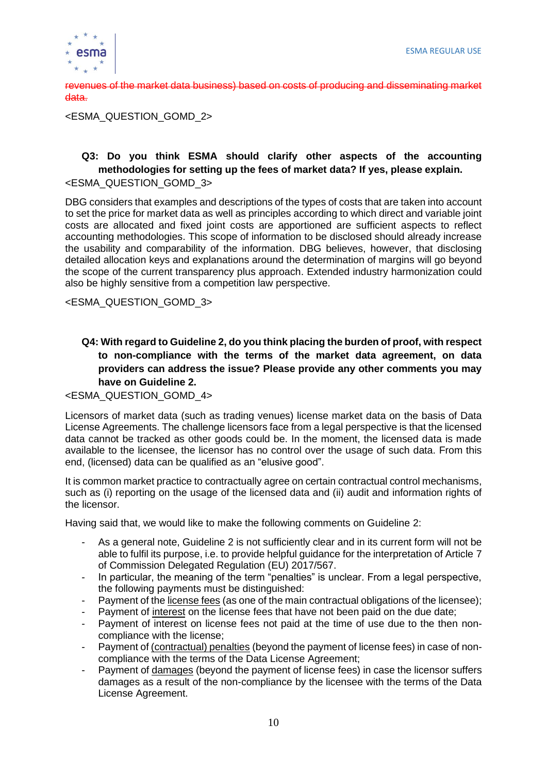

revenues of the market data business) based on costs of producing and disseminating market data.

<ESMA\_QUESTION\_GOMD\_2>

#### **Q3: Do you think ESMA should clarify other aspects of the accounting methodologies for setting up the fees of market data? If yes, please explain.** <ESMA\_QUESTION\_GOMD\_3>

DBG considers that examples and descriptions of the types of costs that are taken into account to set the price for market data as well as principles according to which direct and variable joint costs are allocated and fixed joint costs are apportioned are sufficient aspects to reflect accounting methodologies. This scope of information to be disclosed should already increase the usability and comparability of the information. DBG believes, however, that disclosing detailed allocation keys and explanations around the determination of margins will go beyond the scope of the current transparency plus approach. Extended industry harmonization could also be highly sensitive from a competition law perspective.

<ESMA\_QUESTION\_GOMD\_3>

#### **Q4: With regard to Guideline 2, do you think placing the burden of proof, with respect to non-compliance with the terms of the market data agreement, on data providers can address the issue? Please provide any other comments you may have on Guideline 2.**

<ESMA\_QUESTION\_GOMD\_4>

Licensors of market data (such as trading venues) license market data on the basis of Data License Agreements. The challenge licensors face from a legal perspective is that the licensed data cannot be tracked as other goods could be. In the moment, the licensed data is made available to the licensee, the licensor has no control over the usage of such data. From this end, (licensed) data can be qualified as an "elusive good".

It is common market practice to contractually agree on certain contractual control mechanisms, such as (i) reporting on the usage of the licensed data and (ii) audit and information rights of the licensor.

Having said that, we would like to make the following comments on Guideline 2:

- As a general note, Guideline 2 is not sufficiently clear and in its current form will not be able to fulfil its purpose, i.e. to provide helpful guidance for the interpretation of Article 7 of Commission Delegated Regulation (EU) 2017/567.
- In particular, the meaning of the term "penalties" is unclear. From a legal perspective, the following payments must be distinguished:
- Payment of the license fees (as one of the main contractual obligations of the licensee);
- Payment of interest on the license fees that have not been paid on the due date;
- Payment of interest on license fees not paid at the time of use due to the then noncompliance with the license;
- Payment of (contractual) penalties (beyond the payment of license fees) in case of noncompliance with the terms of the Data License Agreement;
- Payment of damages (beyond the payment of license fees) in case the licensor suffers damages as a result of the non-compliance by the licensee with the terms of the Data License Agreement.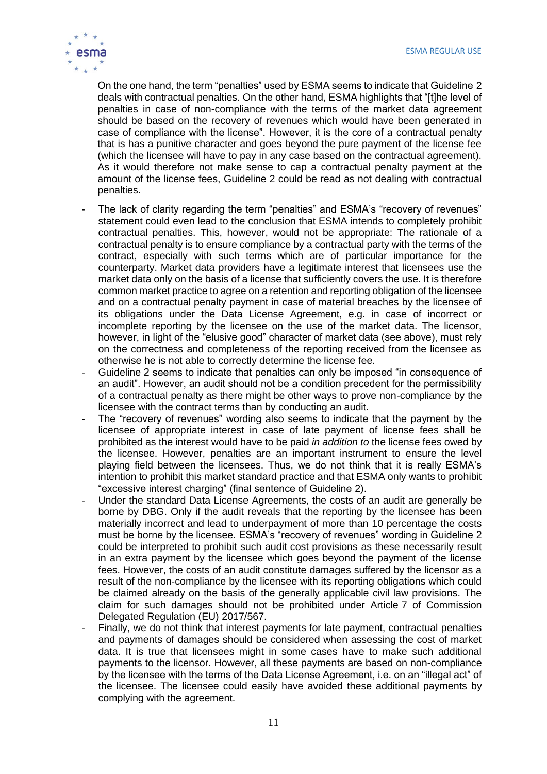

On the one hand, the term "penalties" used by ESMA seems to indicate that Guideline 2 deals with contractual penalties. On the other hand, ESMA highlights that "[t]he level of penalties in case of non-compliance with the terms of the market data agreement should be based on the recovery of revenues which would have been generated in case of compliance with the license". However, it is the core of a contractual penalty that is has a punitive character and goes beyond the pure payment of the license fee (which the licensee will have to pay in any case based on the contractual agreement). As it would therefore not make sense to cap a contractual penalty payment at the amount of the license fees, Guideline 2 could be read as not dealing with contractual penalties.

- The lack of clarity regarding the term "penalties" and ESMA's "recovery of revenues" statement could even lead to the conclusion that ESMA intends to completely prohibit contractual penalties. This, however, would not be appropriate: The rationale of a contractual penalty is to ensure compliance by a contractual party with the terms of the contract, especially with such terms which are of particular importance for the counterparty. Market data providers have a legitimate interest that licensees use the market data only on the basis of a license that sufficiently covers the use. It is therefore common market practice to agree on a retention and reporting obligation of the licensee and on a contractual penalty payment in case of material breaches by the licensee of its obligations under the Data License Agreement, e.g. in case of incorrect or incomplete reporting by the licensee on the use of the market data. The licensor, however, in light of the "elusive good" character of market data (see above), must rely on the correctness and completeness of the reporting received from the licensee as otherwise he is not able to correctly determine the license fee.
- Guideline 2 seems to indicate that penalties can only be imposed "in consequence of an audit". However, an audit should not be a condition precedent for the permissibility of a contractual penalty as there might be other ways to prove non-compliance by the licensee with the contract terms than by conducting an audit.
- The "recovery of revenues" wording also seems to indicate that the payment by the licensee of appropriate interest in case of late payment of license fees shall be prohibited as the interest would have to be paid *in addition to* the license fees owed by the licensee. However, penalties are an important instrument to ensure the level playing field between the licensees. Thus, we do not think that it is really ESMA's intention to prohibit this market standard practice and that ESMA only wants to prohibit "excessive interest charging" (final sentence of Guideline 2).
- Under the standard Data License Agreements, the costs of an audit are generally be borne by DBG. Only if the audit reveals that the reporting by the licensee has been materially incorrect and lead to underpayment of more than 10 percentage the costs must be borne by the licensee. ESMA's "recovery of revenues" wording in Guideline 2 could be interpreted to prohibit such audit cost provisions as these necessarily result in an extra payment by the licensee which goes beyond the payment of the license fees. However, the costs of an audit constitute damages suffered by the licensor as a result of the non-compliance by the licensee with its reporting obligations which could be claimed already on the basis of the generally applicable civil law provisions. The claim for such damages should not be prohibited under Article 7 of Commission Delegated Regulation (EU) 2017/567.
- Finally, we do not think that interest payments for late payment, contractual penalties and payments of damages should be considered when assessing the cost of market data. It is true that licensees might in some cases have to make such additional payments to the licensor. However, all these payments are based on non-compliance by the licensee with the terms of the Data License Agreement, i.e. on an "illegal act" of the licensee. The licensee could easily have avoided these additional payments by complying with the agreement.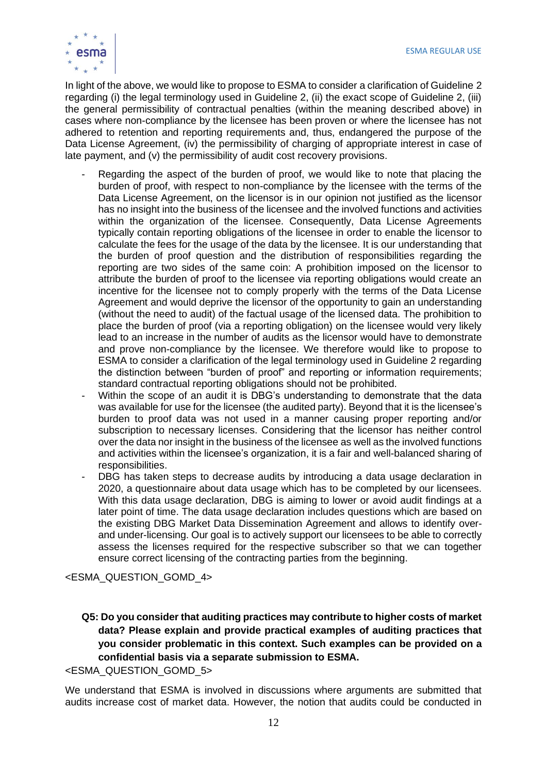

In light of the above, we would like to propose to ESMA to consider a clarification of Guideline 2 regarding (i) the legal terminology used in Guideline 2, (ii) the exact scope of Guideline 2, (iii) the general permissibility of contractual penalties (within the meaning described above) in cases where non-compliance by the licensee has been proven or where the licensee has not adhered to retention and reporting requirements and, thus, endangered the purpose of the Data License Agreement, (iv) the permissibility of charging of appropriate interest in case of late payment, and (v) the permissibility of audit cost recovery provisions.

- Regarding the aspect of the burden of proof, we would like to note that placing the burden of proof, with respect to non-compliance by the licensee with the terms of the Data License Agreement, on the licensor is in our opinion not justified as the licensor has no insight into the business of the licensee and the involved functions and activities within the organization of the licensee. Consequently, Data License Agreements typically contain reporting obligations of the licensee in order to enable the licensor to calculate the fees for the usage of the data by the licensee. It is our understanding that the burden of proof question and the distribution of responsibilities regarding the reporting are two sides of the same coin: A prohibition imposed on the licensor to attribute the burden of proof to the licensee via reporting obligations would create an incentive for the licensee not to comply properly with the terms of the Data License Agreement and would deprive the licensor of the opportunity to gain an understanding (without the need to audit) of the factual usage of the licensed data. The prohibition to place the burden of proof (via a reporting obligation) on the licensee would very likely lead to an increase in the number of audits as the licensor would have to demonstrate and prove non-compliance by the licensee. We therefore would like to propose to ESMA to consider a clarification of the legal terminology used in Guideline 2 regarding the distinction between "burden of proof" and reporting or information requirements; standard contractual reporting obligations should not be prohibited.
- Within the scope of an audit it is DBG's understanding to demonstrate that the data was available for use for the licensee (the audited party). Beyond that it is the licensee's burden to proof data was not used in a manner causing proper reporting and/or subscription to necessary licenses. Considering that the licensor has neither control over the data nor insight in the business of the licensee as well as the involved functions and activities within the licensee's organization, it is a fair and well-balanced sharing of responsibilities.
- DBG has taken steps to decrease audits by introducing a data usage declaration in 2020, a questionnaire about data usage which has to be completed by our licensees. With this data usage declaration. DBG is aiming to lower or avoid audit findings at a later point of time. The data usage declaration includes questions which are based on the existing DBG Market Data Dissemination Agreement and allows to identify overand under-licensing. Our goal is to actively support our licensees to be able to correctly assess the licenses required for the respective subscriber so that we can together ensure correct licensing of the contracting parties from the beginning.

<ESMA\_QUESTION\_GOMD\_4>

**Q5: Do you consider that auditing practices may contribute to higher costs of market data? Please explain and provide practical examples of auditing practices that you consider problematic in this context. Such examples can be provided on a confidential basis via a separate submission to ESMA.**

<ESMA\_QUESTION\_GOMD\_5>

We understand that ESMA is involved in discussions where arguments are submitted that audits increase cost of market data. However, the notion that audits could be conducted in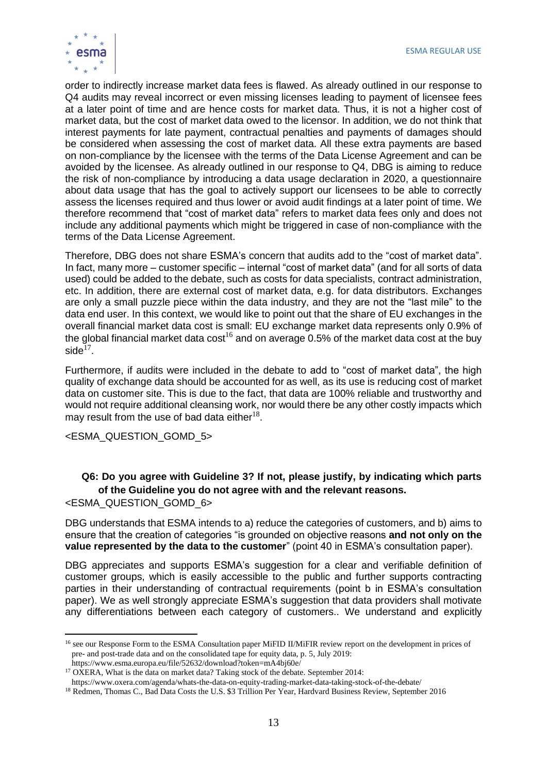

order to indirectly increase market data fees is flawed. As already outlined in our response to Q4 audits may reveal incorrect or even missing licenses leading to payment of licensee fees at a later point of time and are hence costs for market data. Thus, it is not a higher cost of market data, but the cost of market data owed to the licensor. In addition, we do not think that interest payments for late payment, contractual penalties and payments of damages should be considered when assessing the cost of market data. All these extra payments are based on non-compliance by the licensee with the terms of the Data License Agreement and can be avoided by the licensee. As already outlined in our response to Q4, DBG is aiming to reduce the risk of non-compliance by introducing a data usage declaration in 2020, a questionnaire about data usage that has the goal to actively support our licensees to be able to correctly assess the licenses required and thus lower or avoid audit findings at a later point of time. We therefore recommend that "cost of market data" refers to market data fees only and does not include any additional payments which might be triggered in case of non-compliance with the terms of the Data License Agreement.

Therefore, DBG does not share ESMA's concern that audits add to the "cost of market data". In fact, many more – customer specific – internal "cost of market data" (and for all sorts of data used) could be added to the debate, such as costs for data specialists, contract administration, etc. In addition, there are external cost of market data, e.g. for data distributors. Exchanges are only a small puzzle piece within the data industry, and they are not the "last mile" to the data end user. In this context, we would like to point out that the share of EU exchanges in the overall financial market data cost is small: EU exchange market data represents only 0.9% of the global financial market data cost<sup>16</sup> and on average 0.5% of the market data cost at the buy side $^{17}$ .

Furthermore, if audits were included in the debate to add to "cost of market data", the high quality of exchange data should be accounted for as well, as its use is reducing cost of market data on customer site. This is due to the fact, that data are 100% reliable and trustworthy and would not require additional cleansing work, nor would there be any other costly impacts which may result from the use of bad data either $^{18}$ .

<ESMA\_QUESTION\_GOMD\_5>

#### **Q6: Do you agree with Guideline 3? If not, please justify, by indicating which parts of the Guideline you do not agree with and the relevant reasons.**

<ESMA\_QUESTION\_GOMD\_6>

DBG understands that ESMA intends to a) reduce the categories of customers, and b) aims to ensure that the creation of categories "is grounded on objective reasons **and not only on the value represented by the data to the customer**" (point 40 in ESMA's consultation paper).

DBG appreciates and supports ESMA's suggestion for a clear and verifiable definition of customer groups, which is easily accessible to the public and further supports contracting parties in their understanding of contractual requirements (point b in ESMA's consultation paper). We as well strongly appreciate ESMA's suggestion that data providers shall motivate any differentiations between each category of customers.. We understand and explicitly

<sup>&</sup>lt;sup>16</sup> see our Response Form to the ESMA Consultation paper MiFID II/MiFIR review report on the development in prices of pre- and post-trade data and on the consolidated tape for equity data, p. 5, July 2019:

https://www.esma.europa.eu/file/52632/download?token=mA4bj60e/

<sup>&</sup>lt;sup>17</sup> OXERA, What is the data on market data? Taking stock of the debate. September 2014:

https://www.oxera.com/agenda/whats-the-data-on-equity-trading-market-data-taking-stock-of-the-debate/

<sup>18</sup> Redmen, Thomas C., Bad Data Costs the U.S. \$3 Trillion Per Year, Hardvard Business Review, September 2016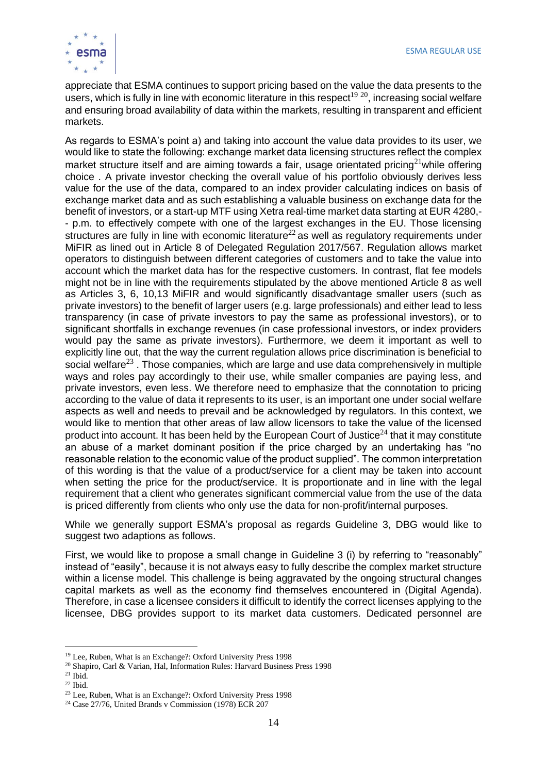

appreciate that ESMA continues to support pricing based on the value the data presents to the users, which is fully in line with economic literature in this respect<sup>19 20</sup>, increasing social welfare and ensuring broad availability of data within the markets, resulting in transparent and efficient markets.

As regards to ESMA's point a) and taking into account the value data provides to its user, we would like to state the following: exchange market data licensing structures reflect the complex market structure itself and are aiming towards a fair, usage orientated pricing<sup>21</sup>while offering choice . A private investor checking the overall value of his portfolio obviously derives less value for the use of the data, compared to an index provider calculating indices on basis of exchange market data and as such establishing a valuable business on exchange data for the benefit of investors, or a start-up MTF using Xetra real-time market data starting at EUR 4280,- - p.m. to effectively compete with one of the largest exchanges in the EU. Those licensing structures are fully in line with economic literature $^{22}$  as well as regulatory requirements under MiFIR as lined out in Article 8 of Delegated Regulation 2017/567. Regulation allows market operators to distinguish between different categories of customers and to take the value into account which the market data has for the respective customers. In contrast, flat fee models might not be in line with the requirements stipulated by the above mentioned Article 8 as well as Articles 3, 6, 10,13 MiFIR and would significantly disadvantage smaller users (such as private investors) to the benefit of larger users (e.g. large professionals) and either lead to less transparency (in case of private investors to pay the same as professional investors), or to significant shortfalls in exchange revenues (in case professional investors, or index providers would pay the same as private investors). Furthermore, we deem it important as well to explicitly line out, that the way the current regulation allows price discrimination is beneficial to social welfare $^{23}$ . Those companies, which are large and use data comprehensively in multiple ways and roles pay accordingly to their use, while smaller companies are paying less, and private investors, even less. We therefore need to emphasize that the connotation to pricing according to the value of data it represents to its user, is an important one under social welfare aspects as well and needs to prevail and be acknowledged by regulators. In this context, we would like to mention that other areas of law allow licensors to take the value of the licensed product into account. It has been held by the European Court of Justice<sup>24</sup> that it may constitute an abuse of a market dominant position if the price charged by an undertaking has "no reasonable relation to the economic value of the product supplied". The common interpretation of this wording is that the value of a product/service for a client may be taken into account when setting the price for the product/service. It is proportionate and in line with the legal requirement that a client who generates significant commercial value from the use of the data is priced differently from clients who only use the data for non-profit/internal purposes.

While we generally support ESMA's proposal as regards Guideline 3, DBG would like to suggest two adaptions as follows.

First, we would like to propose a small change in Guideline 3 (i) by referring to "reasonably" instead of "easily", because it is not always easy to fully describe the complex market structure within a license model. This challenge is being aggravated by the ongoing structural changes capital markets as well as the economy find themselves encountered in (Digital Agenda). Therefore, in case a licensee considers it difficult to identify the correct licenses applying to the licensee, DBG provides support to its market data customers. Dedicated personnel are

<sup>19</sup> Lee, Ruben, What is an Exchange?: Oxford University Press 1998

<sup>20</sup> Shapiro, Carl & Varian, Hal, Information Rules: Harvard Business Press 1998

<sup>21</sup> Ibid.

 $22$  Ibid.

<sup>23</sup> Lee, Ruben, What is an Exchange?: Oxford University Press 1998

<sup>24</sup> Case 27/76, United Brands v Commission (1978) ECR 207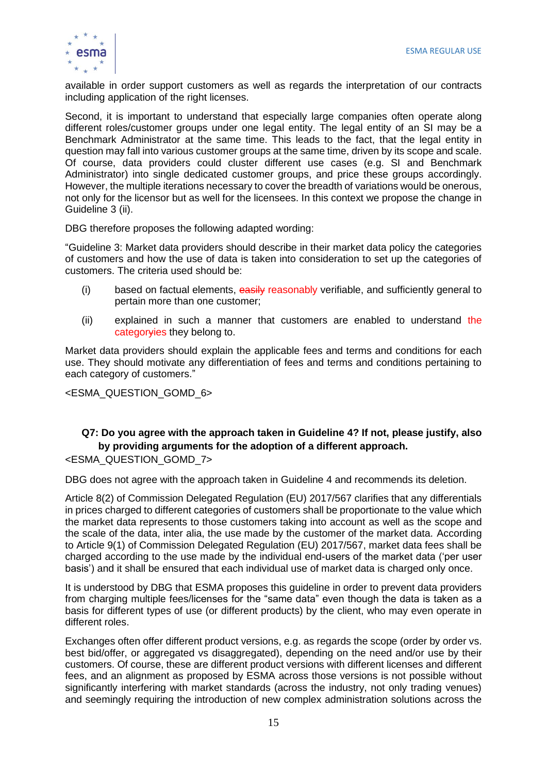

available in order support customers as well as regards the interpretation of our contracts including application of the right licenses.

Second, it is important to understand that especially large companies often operate along different roles/customer groups under one legal entity. The legal entity of an SI may be a Benchmark Administrator at the same time. This leads to the fact, that the legal entity in question may fall into various customer groups at the same time, driven by its scope and scale. Of course, data providers could cluster different use cases (e.g. SI and Benchmark Administrator) into single dedicated customer groups, and price these groups accordingly. However, the multiple iterations necessary to cover the breadth of variations would be onerous, not only for the licensor but as well for the licensees. In this context we propose the change in Guideline 3 (ii).

DBG therefore proposes the following adapted wording:

"Guideline 3: Market data providers should describe in their market data policy the categories of customers and how the use of data is taken into consideration to set up the categories of customers. The criteria used should be:

- (i) based on factual elements, easily reasonably verifiable, and sufficiently general to pertain more than one customer;
- (ii) explained in such a manner that customers are enabled to understand the categoryies they belong to.

Market data providers should explain the applicable fees and terms and conditions for each use. They should motivate any differentiation of fees and terms and conditions pertaining to each category of customers."

<ESMA\_QUESTION\_GOMD\_6>

#### **Q7: Do you agree with the approach taken in Guideline 4? If not, please justify, also by providing arguments for the adoption of a different approach.** <ESMA\_QUESTION\_GOMD\_7>

DBG does not agree with the approach taken in Guideline 4 and recommends its deletion.

Article 8(2) of Commission Delegated Regulation (EU) 2017/567 clarifies that any differentials in prices charged to different categories of customers shall be proportionate to the value which the market data represents to those customers taking into account as well as the scope and the scale of the data, inter alia, the use made by the customer of the market data. According to Article 9(1) of Commission Delegated Regulation (EU) 2017/567, market data fees shall be charged according to the use made by the individual end-users of the market data ('per user basis') and it shall be ensured that each individual use of market data is charged only once.

It is understood by DBG that ESMA proposes this guideline in order to prevent data providers from charging multiple fees/licenses for the "same data" even though the data is taken as a basis for different types of use (or different products) by the client, who may even operate in different roles.

Exchanges often offer different product versions, e.g. as regards the scope (order by order vs. best bid/offer, or aggregated vs disaggregated), depending on the need and/or use by their customers. Of course, these are different product versions with different licenses and different fees, and an alignment as proposed by ESMA across those versions is not possible without significantly interfering with market standards (across the industry, not only trading venues) and seemingly requiring the introduction of new complex administration solutions across the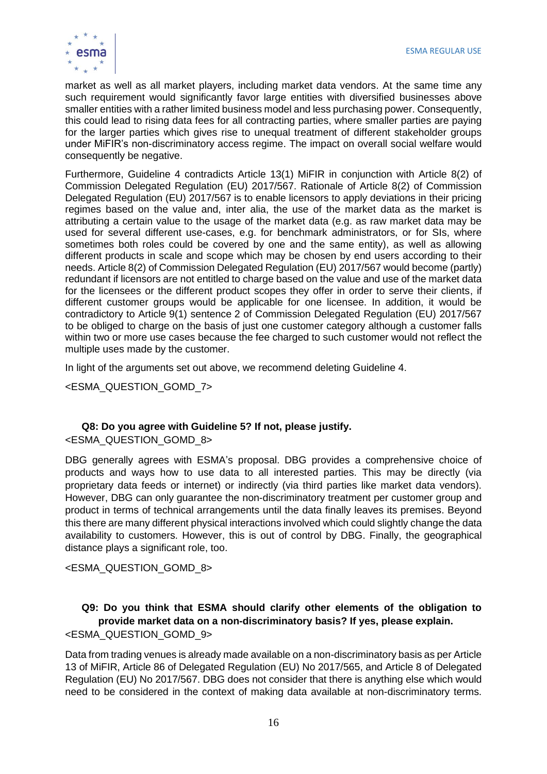

market as well as all market players, including market data vendors. At the same time any such requirement would significantly favor large entities with diversified businesses above smaller entities with a rather limited business model and less purchasing power. Consequently, this could lead to rising data fees for all contracting parties, where smaller parties are paying for the larger parties which gives rise to unequal treatment of different stakeholder groups under MiFIR's non-discriminatory access regime. The impact on overall social welfare would consequently be negative.

Furthermore, Guideline 4 contradicts Article 13(1) MiFIR in conjunction with Article 8(2) of Commission Delegated Regulation (EU) 2017/567. Rationale of Article 8(2) of Commission Delegated Regulation (EU) 2017/567 is to enable licensors to apply deviations in their pricing regimes based on the value and, inter alia, the use of the market data as the market is attributing a certain value to the usage of the market data (e.g. as raw market data may be used for several different use-cases, e.g. for benchmark administrators, or for SIs, where sometimes both roles could be covered by one and the same entity), as well as allowing different products in scale and scope which may be chosen by end users according to their needs. Article 8(2) of Commission Delegated Regulation (EU) 2017/567 would become (partly) redundant if licensors are not entitled to charge based on the value and use of the market data for the licensees or the different product scopes they offer in order to serve their clients, if different customer groups would be applicable for one licensee. In addition, it would be contradictory to Article 9(1) sentence 2 of Commission Delegated Regulation (EU) 2017/567 to be obliged to charge on the basis of just one customer category although a customer falls within two or more use cases because the fee charged to such customer would not reflect the multiple uses made by the customer.

In light of the arguments set out above, we recommend deleting Guideline 4.

<ESMA\_QUESTION\_GOMD\_7>

## **Q8: Do you agree with Guideline 5? If not, please justify.**

<ESMA\_QUESTION\_GOMD\_8>

DBG generally agrees with ESMA's proposal. DBG provides a comprehensive choice of products and ways how to use data to all interested parties. This may be directly (via proprietary data feeds or internet) or indirectly (via third parties like market data vendors). However, DBG can only guarantee the non-discriminatory treatment per customer group and product in terms of technical arrangements until the data finally leaves its premises. Beyond this there are many different physical interactions involved which could slightly change the data availability to customers. However, this is out of control by DBG. Finally, the geographical distance plays a significant role, too.

<ESMA\_QUESTION\_GOMD\_8>

#### **Q9: Do you think that ESMA should clarify other elements of the obligation to provide market data on a non-discriminatory basis? If yes, please explain.** <ESMA\_QUESTION\_GOMD\_9>

Data from trading venues is already made available on a non-discriminatory basis as per Article 13 of MiFIR, Article 86 of Delegated Regulation (EU) No 2017/565, and Article 8 of Delegated Regulation (EU) No 2017/567. DBG does not consider that there is anything else which would need to be considered in the context of making data available at non-discriminatory terms.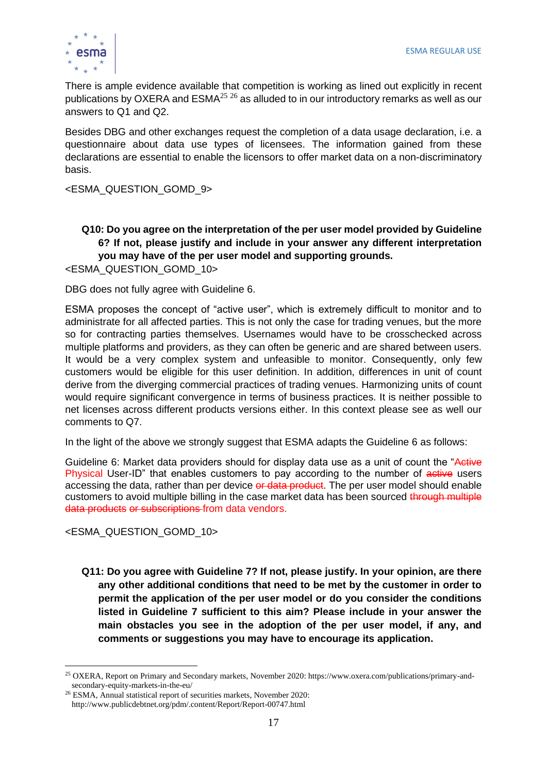

There is ample evidence available that competition is working as lined out explicitly in recent publications by OXERA and  $ESMA<sup>25,26</sup>$  as alluded to in our introductory remarks as well as our answers to Q1 and Q2.

Besides DBG and other exchanges request the completion of a data usage declaration, i.e. a questionnaire about data use types of licensees. The information gained from these declarations are essential to enable the licensors to offer market data on a non-discriminatory basis.

<ESMA\_QUESTION\_GOMD\_9>

## **Q10: Do you agree on the interpretation of the per user model provided by Guideline 6? If not, please justify and include in your answer any different interpretation you may have of the per user model and supporting grounds.**

<ESMA\_QUESTION\_GOMD\_10>

DBG does not fully agree with Guideline 6.

ESMA proposes the concept of "active user", which is extremely difficult to monitor and to administrate for all affected parties. This is not only the case for trading venues, but the more so for contracting parties themselves. Usernames would have to be crosschecked across multiple platforms and providers, as they can often be generic and are shared between users. It would be a very complex system and unfeasible to monitor. Consequently, only few customers would be eligible for this user definition. In addition, differences in unit of count derive from the diverging commercial practices of trading venues. Harmonizing units of count would require significant convergence in terms of business practices. It is neither possible to net licenses across different products versions either. In this context please see as well our comments to Q7.

In the light of the above we strongly suggest that ESMA adapts the Guideline 6 as follows:

Guideline 6: Market data providers should for display data use as a unit of count the "Active" Physical User-ID" that enables customers to pay according to the number of active users accessing the data, rather than per device or data product. The per user model should enable customers to avoid multiple billing in the case market data has been sourced through multiple data products or subscriptions from data vendors.

<ESMA\_QUESTION\_GOMD\_10>

**Q11: Do you agree with Guideline 7? If not, please justify. In your opinion, are there any other additional conditions that need to be met by the customer in order to permit the application of the per user model or do you consider the conditions listed in Guideline 7 sufficient to this aim? Please include in your answer the main obstacles you see in the adoption of the per user model, if any, and comments or suggestions you may have to encourage its application.** 

<sup>25</sup> OXERA, Report on Primary and Secondary markets, November 2020: https://www.oxera.com/publications/primary-andsecondary-equity-markets-in-the-eu/

<sup>26</sup> ESMA, Annual statistical report of securities markets, November 2020: http://www.publicdebtnet.org/pdm/.content/Report/Report-00747.html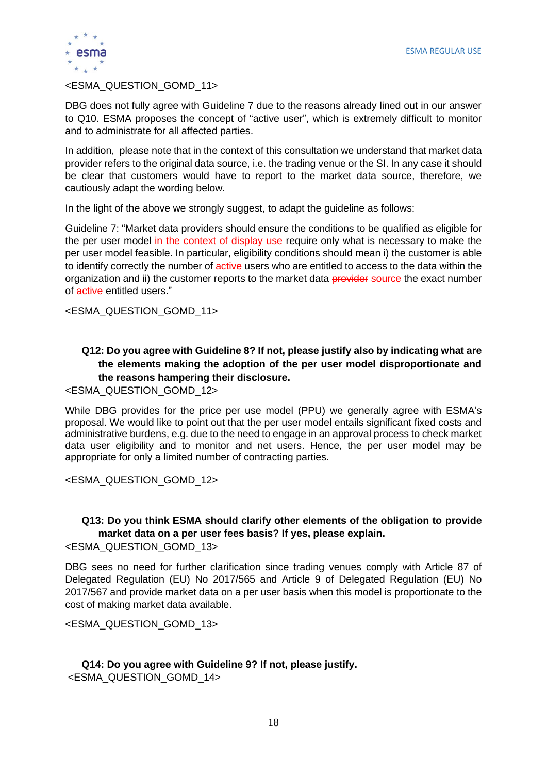

#### <ESMA\_QUESTION\_GOMD\_11>

DBG does not fully agree with Guideline 7 due to the reasons already lined out in our answer to Q10. ESMA proposes the concept of "active user", which is extremely difficult to monitor and to administrate for all affected parties.

In addition, please note that in the context of this consultation we understand that market data provider refers to the original data source, i.e. the trading venue or the SI. In any case it should be clear that customers would have to report to the market data source, therefore, we cautiously adapt the wording below.

In the light of the above we strongly suggest, to adapt the guideline as follows:

Guideline 7: "Market data providers should ensure the conditions to be qualified as eligible for the per user model in the context of display use require only what is necessary to make the per user model feasible. In particular, eligibility conditions should mean i) the customer is able to identify correctly the number of active users who are entitled to access to the data within the organization and ii) the customer reports to the market data provider source the exact number of active entitled users."

<ESMA\_QUESTION\_GOMD\_11>

#### **Q12: Do you agree with Guideline 8? If not, please justify also by indicating what are the elements making the adoption of the per user model disproportionate and the reasons hampering their disclosure.**

<ESMA\_QUESTION\_GOMD\_12>

While DBG provides for the price per use model (PPU) we generally agree with ESMA's proposal. We would like to point out that the per user model entails significant fixed costs and administrative burdens, e.g. due to the need to engage in an approval process to check market data user eligibility and to monitor and net users. Hence, the per user model may be appropriate for only a limited number of contracting parties.

<ESMA\_QUESTION\_GOMD\_12>

#### **Q13: Do you think ESMA should clarify other elements of the obligation to provide market data on a per user fees basis? If yes, please explain.**

<ESMA\_QUESTION\_GOMD\_13>

DBG sees no need for further clarification since trading venues comply with Article 87 of Delegated Regulation (EU) No 2017/565 and Article 9 of Delegated Regulation (EU) No 2017/567 and provide market data on a per user basis when this model is proportionate to the cost of making market data available.

<ESMA\_QUESTION\_GOMD\_13>

**Q14: Do you agree with Guideline 9? If not, please justify.**  <ESMA\_QUESTION\_GOMD\_14>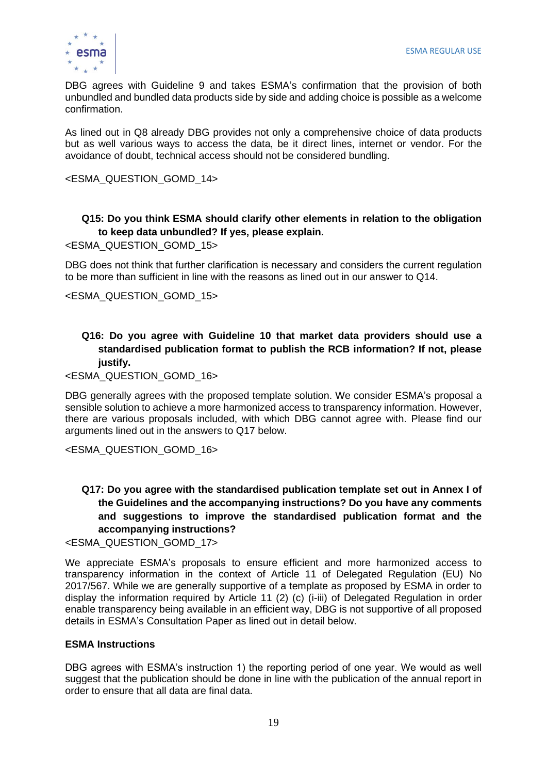

DBG agrees with Guideline 9 and takes ESMA's confirmation that the provision of both unbundled and bundled data products side by side and adding choice is possible as a welcome confirmation.

As lined out in Q8 already DBG provides not only a comprehensive choice of data products but as well various ways to access the data, be it direct lines, internet or vendor. For the avoidance of doubt, technical access should not be considered bundling.

<ESMA\_QUESTION\_GOMD\_14>

#### **Q15: Do you think ESMA should clarify other elements in relation to the obligation to keep data unbundled? If yes, please explain.**

<ESMA\_QUESTION\_GOMD\_15>

DBG does not think that further clarification is necessary and considers the current regulation to be more than sufficient in line with the reasons as lined out in our answer to Q14.

<ESMA\_QUESTION\_GOMD\_15>

#### **Q16: Do you agree with Guideline 10 that market data providers should use a standardised publication format to publish the RCB information? If not, please justify.**

<ESMA\_QUESTION\_GOMD\_16>

DBG generally agrees with the proposed template solution. We consider ESMA's proposal a sensible solution to achieve a more harmonized access to transparency information. However, there are various proposals included, with which DBG cannot agree with. Please find our arguments lined out in the answers to Q17 below.

<ESMA\_QUESTION\_GOMD\_16>

## **Q17: Do you agree with the standardised publication template set out in Annex I of the Guidelines and the accompanying instructions? Do you have any comments and suggestions to improve the standardised publication format and the accompanying instructions?**

<ESMA\_QUESTION\_GOMD\_17>

We appreciate ESMA's proposals to ensure efficient and more harmonized access to transparency information in the context of Article 11 of Delegated Regulation (EU) No 2017/567. While we are generally supportive of a template as proposed by ESMA in order to display the information required by Article 11 (2) (c) (i-iii) of Delegated Regulation in order enable transparency being available in an efficient way, DBG is not supportive of all proposed details in ESMA's Consultation Paper as lined out in detail below.

#### **ESMA Instructions**

DBG agrees with ESMA's instruction 1) the reporting period of one year. We would as well suggest that the publication should be done in line with the publication of the annual report in order to ensure that all data are final data.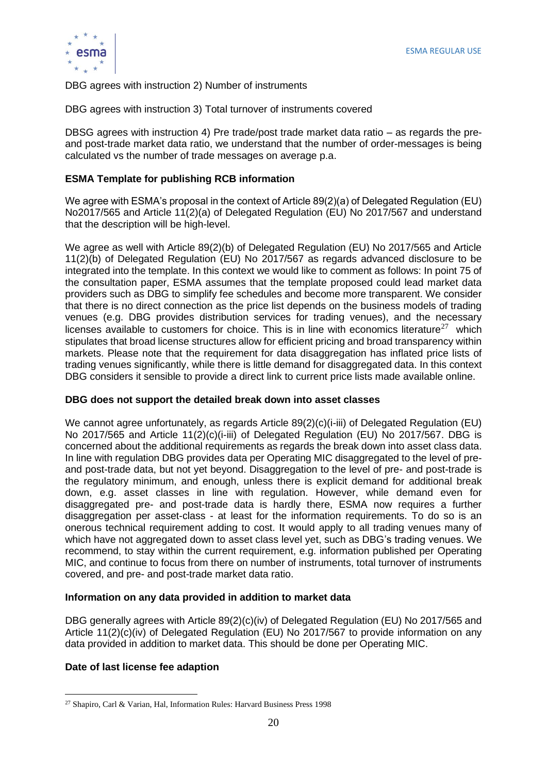

DBG agrees with instruction 2) Number of instruments

DBG agrees with instruction 3) Total turnover of instruments covered

DBSG agrees with instruction 4) Pre trade/post trade market data ratio – as regards the preand post-trade market data ratio, we understand that the number of order-messages is being calculated vs the number of trade messages on average p.a.

#### **ESMA Template for publishing RCB information**

We agree with ESMA's proposal in the context of Article 89(2)(a) of Delegated Regulation (EU) No2017/565 and Article 11(2)(a) of Delegated Regulation (EU) No 2017/567 and understand that the description will be high-level.

We agree as well with Article 89(2)(b) of Delegated Regulation (EU) No 2017/565 and Article 11(2)(b) of Delegated Regulation (EU) No 2017/567 as regards advanced disclosure to be integrated into the template. In this context we would like to comment as follows: In point 75 of the consultation paper, ESMA assumes that the template proposed could lead market data providers such as DBG to simplify fee schedules and become more transparent. We consider that there is no direct connection as the price list depends on the business models of trading venues (e.g. DBG provides distribution services for trading venues), and the necessary licenses available to customers for choice. This is in line with economics literature<sup>27</sup> which stipulates that broad license structures allow for efficient pricing and broad transparency within markets. Please note that the requirement for data disaggregation has inflated price lists of trading venues significantly, while there is little demand for disaggregated data. In this context DBG considers it sensible to provide a direct link to current price lists made available online.

#### **DBG does not support the detailed break down into asset classes**

We cannot agree unfortunately, as regards Article 89(2)(c)(i-iii) of Delegated Regulation (EU) No 2017/565 and Article 11(2)(c)(i-iii) of Delegated Regulation (EU) No 2017/567. DBG is concerned about the additional requirements as regards the break down into asset class data. In line with regulation DBG provides data per Operating MIC disaggregated to the level of preand post-trade data, but not yet beyond. Disaggregation to the level of pre- and post-trade is the regulatory minimum, and enough, unless there is explicit demand for additional break down, e.g. asset classes in line with regulation. However, while demand even for disaggregated pre- and post-trade data is hardly there, ESMA now requires a further disaggregation per asset-class - at least for the information requirements. To do so is an onerous technical requirement adding to cost. It would apply to all trading venues many of which have not aggregated down to asset class level yet, such as DBG's trading venues. We recommend, to stay within the current requirement, e.g. information published per Operating MIC, and continue to focus from there on number of instruments, total turnover of instruments covered, and pre- and post-trade market data ratio.

#### **Information on any data provided in addition to market data**

DBG generally agrees with Article 89(2)(c)(iv) of Delegated Regulation (EU) No 2017/565 and Article 11(2)(c)(iv) of Delegated Regulation (EU) No 2017/567 to provide information on any data provided in addition to market data. This should be done per Operating MIC.

#### **Date of last license fee adaption**

<sup>27</sup> Shapiro, Carl & Varian, Hal, Information Rules: Harvard Business Press 1998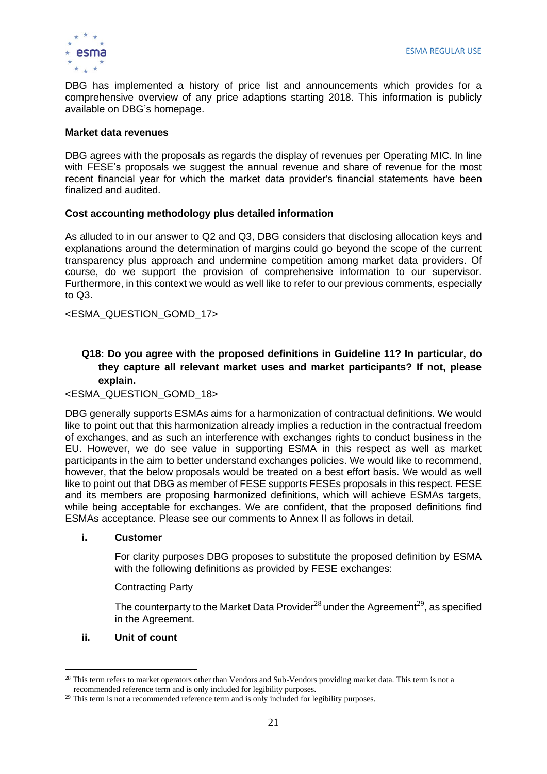DBG has implemented a history of price list and announcements which provides for a comprehensive overview of any price adaptions starting 2018. This information is publicly available on DBG's homepage.

#### **Market data revenues**

DBG agrees with the proposals as regards the display of revenues per Operating MIC. In line with FESE's proposals we suggest the annual revenue and share of revenue for the most recent financial year for which the market data provider's financial statements have been finalized and audited.

#### **Cost accounting methodology plus detailed information**

As alluded to in our answer to Q2 and Q3, DBG considers that disclosing allocation keys and explanations around the determination of margins could go beyond the scope of the current transparency plus approach and undermine competition among market data providers. Of course, do we support the provision of comprehensive information to our supervisor. Furthermore, in this context we would as well like to refer to our previous comments, especially to Q3.

<ESMA\_QUESTION\_GOMD\_17>

#### **Q18: Do you agree with the proposed definitions in Guideline 11? In particular, do they capture all relevant market uses and market participants? If not, please explain.**

#### <ESMA\_QUESTION\_GOMD\_18>

DBG generally supports ESMAs aims for a harmonization of contractual definitions. We would like to point out that this harmonization already implies a reduction in the contractual freedom of exchanges, and as such an interference with exchanges rights to conduct business in the EU. However, we do see value in supporting ESMA in this respect as well as market participants in the aim to better understand exchanges policies. We would like to recommend, however, that the below proposals would be treated on a best effort basis. We would as well like to point out that DBG as member of FESE supports FESEs proposals in this respect. FESE and its members are proposing harmonized definitions, which will achieve ESMAs targets, while being acceptable for exchanges. We are confident, that the proposed definitions find ESMAs acceptance. Please see our comments to Annex II as follows in detail.

#### **i. Customer**

For clarity purposes DBG proposes to substitute the proposed definition by ESMA with the following definitions as provided by FESE exchanges:

#### Contracting Party

The counterparty to the Market Data Provider<sup>28</sup> under the Agreement<sup>29</sup>, as specified in the Agreement.

#### **ii. Unit of count**

 $^{28}$  This term refers to market operators other than Vendors and Sub-Vendors providing market data. This term is not a recommended reference term and is only included for legibility purposes.

<sup>&</sup>lt;sup>29</sup> This term is not a recommended reference term and is only included for legibility purposes.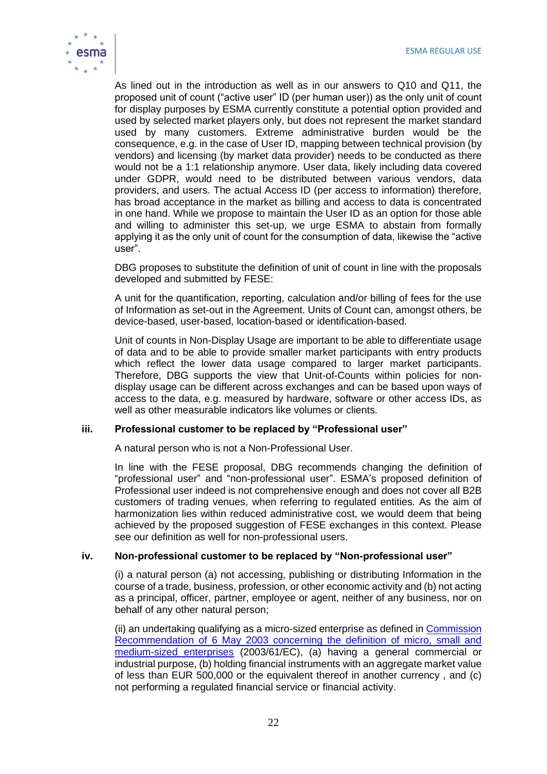

As lined out in the introduction as well as in our answers to Q10 and Q11, the proposed unit of count ("active user" ID (per human user)) as the only unit of count for display purposes by ESMA currently constitute a potential option provided and used by selected market players only, but does not represent the market standard used by many customers. Extreme administrative burden would be the consequence, e.g. in the case of User ID, mapping between technical provision (by vendors) and licensing (by market data provider) needs to be conducted as there would not be a 1:1 relationship anymore. User data, likely including data covered under GDPR, would need to be distributed between various vendors, data providers, and users. The actual Access ID (per access to information) therefore, has broad acceptance in the market as billing and access to data is concentrated in one hand. While we propose to maintain the User ID as an option for those able and willing to administer this set-up, we urge ESMA to abstain from formally applying it as the only unit of count for the consumption of data, likewise the "active user".

DBG proposes to substitute the definition of unit of count in line with the proposals developed and submitted by FESE:

A unit for the quantification, reporting, calculation and/or billing of fees for the use of Information as set-out in the Agreement. Units of Count can, amongst others, be device-based, user-based, location-based or identification-based.

Unit of counts in Non-Display Usage are important to be able to differentiate usage of data and to be able to provide smaller market participants with entry products which reflect the lower data usage compared to larger market participants. Therefore, DBG supports the view that Unit-of-Counts within policies for nondisplay usage can be different across exchanges and can be based upon ways of access to the data, e.g. measured by hardware, software or other access IDs, as well as other measurable indicators like volumes or clients.

#### **iii. Professional customer to be replaced by "Professional user"**

A natural person who is not a Non-Professional User.

In line with the FESE proposal, DBG recommends changing the definition of "professional user" and "non-professional user". ESMA's proposed definition of Professional user indeed is not comprehensive enough and does not cover all B2B customers of trading venues, when referring to regulated entities. As the aim of harmonization lies within reduced administrative cost, we would deem that being achieved by the proposed suggestion of FESE exchanges in this context. Please see our definition as well for non-professional users.

#### **iv. Non-professional customer to be replaced by "Non-professional user"**

(i) a natural person (a) not accessing, publishing or distributing Information in the course of a trade, business, profession, or other economic activity and (b) not acting as a principal, officer, partner, employee or agent, neither of any business, nor on behalf of any other natural person;

(ii) an undertaking qualifying as a micro-sized enterprise as defined in [Commission](https://eur-lex.europa.eu/legal-content/EN/ALL/?uri=CELEX%3A32003H0361)  [Recommendation of 6 May 2003 concerning the definition of micro, small and](https://eur-lex.europa.eu/legal-content/EN/ALL/?uri=CELEX%3A32003H0361)  [medium-sized enterprises](https://eur-lex.europa.eu/legal-content/EN/ALL/?uri=CELEX%3A32003H0361) (2003/61/EC), (a) having a general commercial or industrial purpose, (b) holding financial instruments with an aggregate market value of less than EUR 500,000 or the equivalent thereof in another currency , and (c) not performing a regulated financial service or financial activity.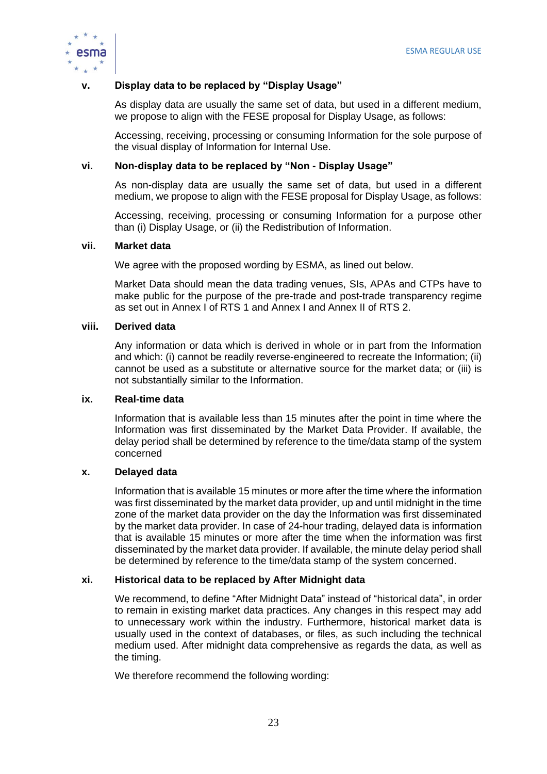

#### **v. Display data to be replaced by "Display Usage"**

As display data are usually the same set of data, but used in a different medium, we propose to align with the FESE proposal for Display Usage, as follows:

Accessing, receiving, processing or consuming Information for the sole purpose of the visual display of Information for Internal Use.

#### **vi. Non-display data to be replaced by "Non - Display Usage"**

As non-display data are usually the same set of data, but used in a different medium, we propose to align with the FESE proposal for Display Usage, as follows:

Accessing, receiving, processing or consuming Information for a purpose other than (i) Display Usage, or (ii) the Redistribution of Information.

#### **vii. Market data**

We agree with the proposed wording by ESMA, as lined out below.

Market Data should mean the data trading venues, SIs, APAs and CTPs have to make public for the purpose of the pre-trade and post-trade transparency regime as set out in Annex I of RTS 1 and Annex I and Annex II of RTS 2.

#### **viii. Derived data**

Any information or data which is derived in whole or in part from the Information and which: (i) cannot be readily reverse-engineered to recreate the Information; (ii) cannot be used as a substitute or alternative source for the market data; or (iii) is not substantially similar to the Information.

#### **ix. Real-time data**

Information that is available less than 15 minutes after the point in time where the Information was first disseminated by the Market Data Provider. If available, the delay period shall be determined by reference to the time/data stamp of the system concerned

#### **x. Delayed data**

Information that is available 15 minutes or more after the time where the information was first disseminated by the market data provider, up and until midnight in the time zone of the market data provider on the day the Information was first disseminated by the market data provider. In case of 24-hour trading, delayed data is information that is available 15 minutes or more after the time when the information was first disseminated by the market data provider. If available, the minute delay period shall be determined by reference to the time/data stamp of the system concerned.

#### **xi. Historical data to be replaced by After Midnight data**

We recommend, to define "After Midnight Data" instead of "historical data", in order to remain in existing market data practices. Any changes in this respect may add to unnecessary work within the industry. Furthermore, historical market data is usually used in the context of databases, or files, as such including the technical medium used. After midnight data comprehensive as regards the data, as well as the timing.

We therefore recommend the following wording: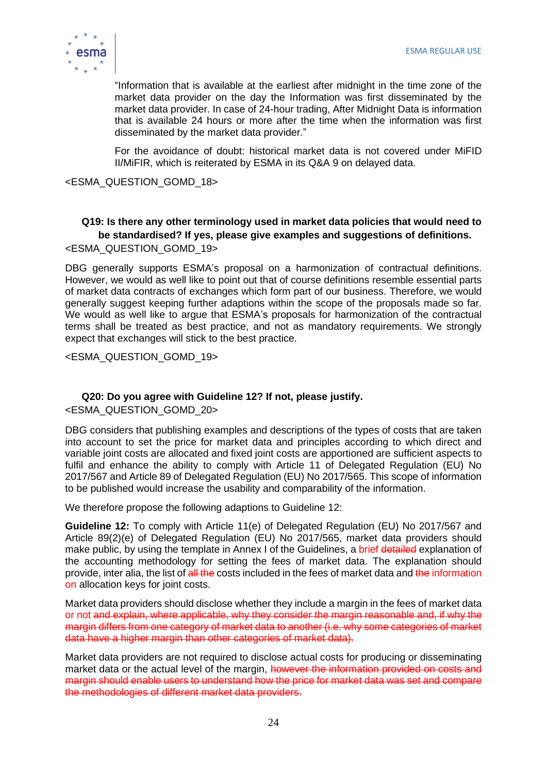

"Information that is available at the earliest after midnight in the time zone of the market data provider on the day the Information was first disseminated by the market data provider. In case of 24-hour trading, After Midnight Data is information that is available 24 hours or more after the time when the information was first disseminated by the market data provider."

For the avoidance of doubt: historical market data is not covered under MiFID II/MiFIR, which is reiterated by ESMA in its Q&A 9 on delayed data.

<ESMA\_QUESTION\_GOMD\_18>

#### **Q19: Is there any other terminology used in market data policies that would need to be standardised? If yes, please give examples and suggestions of definitions.** <ESMA\_QUESTION\_GOMD\_19>

DBG generally supports ESMA's proposal on a harmonization of contractual definitions. However, we would as well like to point out that of course definitions resemble essential parts of market data contracts of exchanges which form part of our business. Therefore, we would generally suggest keeping further adaptions within the scope of the proposals made so far. We would as well like to argue that ESMA's proposals for harmonization of the contractual terms shall be treated as best practice, and not as mandatory requirements. We strongly expect that exchanges will stick to the best practice.

<ESMA\_QUESTION\_GOMD\_19>

#### **Q20: Do you agree with Guideline 12? If not, please justify.**

<ESMA\_QUESTION\_GOMD\_20>

DBG considers that publishing examples and descriptions of the types of costs that are taken into account to set the price for market data and principles according to which direct and variable joint costs are allocated and fixed joint costs are apportioned are sufficient aspects to fulfil and enhance the ability to comply with Article 11 of Delegated Regulation (EU) No 2017/567 and Article 89 of Delegated Regulation (EU) No 2017/565. This scope of information to be published would increase the usability and comparability of the information.

We therefore propose the following adaptions to Guideline 12:

**Guideline 12:** To comply with Article 11(e) of Delegated Regulation (EU) No 2017/567 and Article 89(2)(e) of Delegated Regulation (EU) No 2017/565, market data providers should make public, by using the template in Annex I of the Guidelines, a brief detailed explanation of the accounting methodology for setting the fees of market data. The explanation should provide, inter alia, the list of all the costs included in the fees of market data and the information on allocation keys for joint costs.

Market data providers should disclose whether they include a margin in the fees of market data or not and explain, where applicable, why they consider the margin reasonable and, if why the margin differs from one category of market data to another (i.e. why some categories of market data have a higher margin than other categories of market data).

Market data providers are not required to disclose actual costs for producing or disseminating market data or the actual level of the margin, however the information provided on costs and margin should enable users to understand how the price for market data was set and compare the methodologies of different market data providers.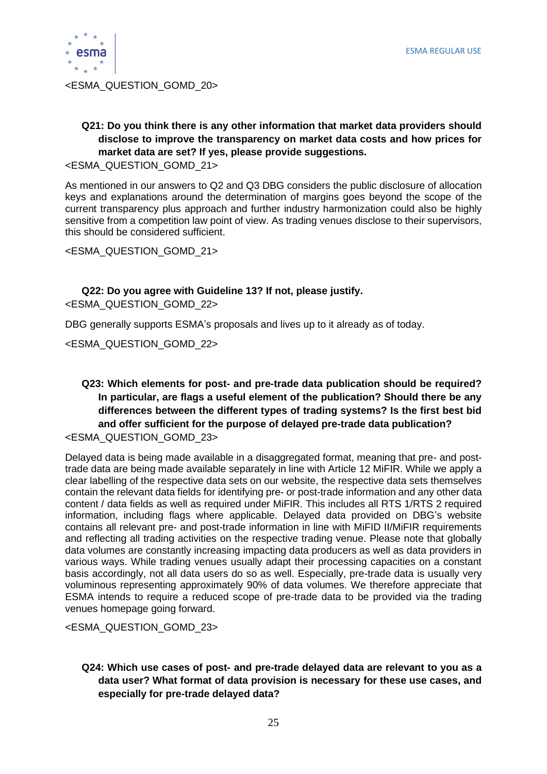

<ESMA\_QUESTION\_GOMD\_20>

## **Q21: Do you think there is any other information that market data providers should disclose to improve the transparency on market data costs and how prices for market data are set? If yes, please provide suggestions.**

<ESMA\_QUESTION\_GOMD\_21>

As mentioned in our answers to Q2 and Q3 DBG considers the public disclosure of allocation keys and explanations around the determination of margins goes beyond the scope of the current transparency plus approach and further industry harmonization could also be highly sensitive from a competition law point of view. As trading venues disclose to their supervisors, this should be considered sufficient.

<ESMA\_QUESTION\_GOMD\_21>

#### **Q22: Do you agree with Guideline 13? If not, please justify.**

<ESMA\_QUESTION\_GOMD\_22>

DBG generally supports ESMA's proposals and lives up to it already as of today.

<ESMA\_QUESTION\_GOMD\_22>

#### **Q23: Which elements for post- and pre-trade data publication should be required? In particular, are flags a useful element of the publication? Should there be any differences between the different types of trading systems? Is the first best bid and offer sufficient for the purpose of delayed pre-trade data publication?** <ESMA\_QUESTION\_GOMD\_23>

Delayed data is being made available in a disaggregated format, meaning that pre- and posttrade data are being made available separately in line with Article 12 MiFIR. While we apply a clear labelling of the respective data sets on our website, the respective data sets themselves contain the relevant data fields for identifying pre- or post-trade information and any other data content / data fields as well as required under MiFIR. This includes all RTS 1/RTS 2 required information, including flags where applicable. Delayed data provided on DBG's website contains all relevant pre- and post-trade information in line with MiFID II/MiFIR requirements and reflecting all trading activities on the respective trading venue. Please note that globally data volumes are constantly increasing impacting data producers as well as data providers in various ways. While trading venues usually adapt their processing capacities on a constant basis accordingly, not all data users do so as well. Especially, pre-trade data is usually very voluminous representing approximately 90% of data volumes. We therefore appreciate that ESMA intends to require a reduced scope of pre-trade data to be provided via the trading venues homepage going forward.

<ESMA\_QUESTION\_GOMD\_23>

#### **Q24: Which use cases of post- and pre-trade delayed data are relevant to you as a data user? What format of data provision is necessary for these use cases, and especially for pre-trade delayed data?**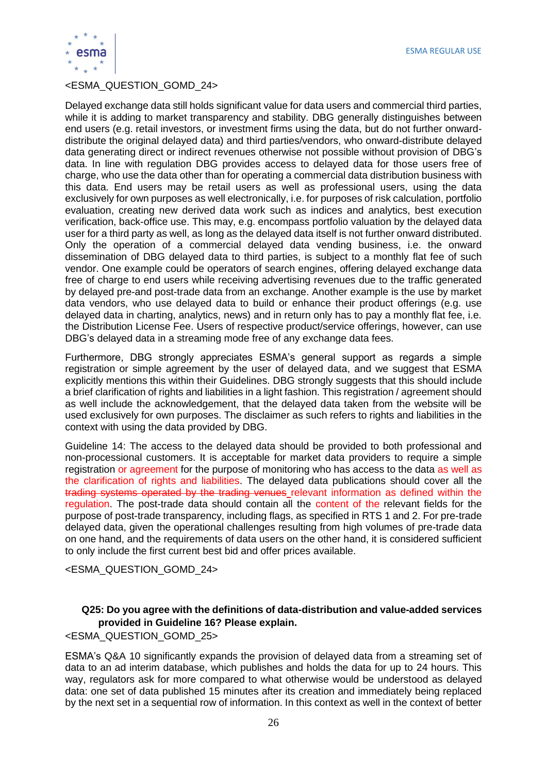ESMA REGULAR USE



#### <ESMA\_QUESTION\_GOMD\_24>

Delayed exchange data still holds significant value for data users and commercial third parties, while it is adding to market transparency and stability. DBG generally distinguishes between end users (e.g. retail investors, or investment firms using the data, but do not further onwarddistribute the original delayed data) and third parties/vendors, who onward-distribute delayed data generating direct or indirect revenues otherwise not possible without provision of DBG's data. In line with regulation DBG provides access to delayed data for those users free of charge, who use the data other than for operating a commercial data distribution business with this data. End users may be retail users as well as professional users, using the data exclusively for own purposes as well electronically, i.e. for purposes of risk calculation, portfolio evaluation, creating new derived data work such as indices and analytics, best execution verification, back-office use. This may, e.g. encompass portfolio valuation by the delayed data user for a third party as well, as long as the delayed data itself is not further onward distributed. Only the operation of a commercial delayed data vending business, i.e. the onward dissemination of DBG delayed data to third parties, is subject to a monthly flat fee of such vendor. One example could be operators of search engines, offering delayed exchange data free of charge to end users while receiving advertising revenues due to the traffic generated by delayed pre-and post-trade data from an exchange. Another example is the use by market data vendors, who use delayed data to build or enhance their product offerings (e.g. use delayed data in charting, analytics, news) and in return only has to pay a monthly flat fee, i.e. the Distribution License Fee. Users of respective product/service offerings, however, can use DBG's delayed data in a streaming mode free of any exchange data fees.

Furthermore, DBG strongly appreciates ESMA's general support as regards a simple registration or simple agreement by the user of delayed data, and we suggest that ESMA explicitly mentions this within their Guidelines. DBG strongly suggests that this should include a brief clarification of rights and liabilities in a light fashion. This registration / agreement should as well include the acknowledgement, that the delayed data taken from the website will be used exclusively for own purposes. The disclaimer as such refers to rights and liabilities in the context with using the data provided by DBG.

Guideline 14: The access to the delayed data should be provided to both professional and non-processional customers. It is acceptable for market data providers to require a simple registration or agreement for the purpose of monitoring who has access to the data as well as the clarification of rights and liabilities. The delayed data publications should cover all the trading systems operated by the trading venues relevant information as defined within the regulation. The post-trade data should contain all the content of the relevant fields for the purpose of post-trade transparency, including flags, as specified in RTS 1 and 2. For pre-trade delayed data, given the operational challenges resulting from high volumes of pre-trade data on one hand, and the requirements of data users on the other hand, it is considered sufficient to only include the first current best bid and offer prices available.

<ESMA\_QUESTION\_GOMD\_24>

#### **Q25: Do you agree with the definitions of data-distribution and value-added services provided in Guideline 16? Please explain.**

<ESMA\_QUESTION\_GOMD\_25>

ESMA's Q&A 10 significantly expands the provision of delayed data from a streaming set of data to an ad interim database, which publishes and holds the data for up to 24 hours. This way, regulators ask for more compared to what otherwise would be understood as delayed data: one set of data published 15 minutes after its creation and immediately being replaced by the next set in a sequential row of information. In this context as well in the context of better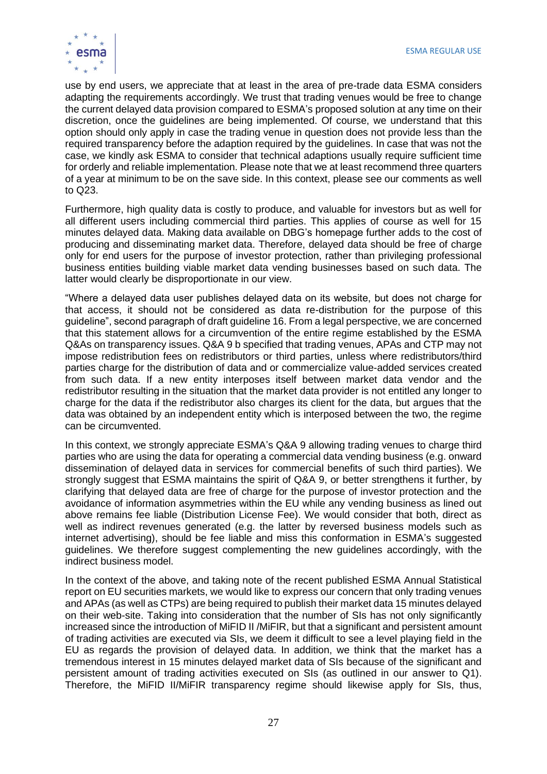

use by end users, we appreciate that at least in the area of pre-trade data ESMA considers adapting the requirements accordingly. We trust that trading venues would be free to change the current delayed data provision compared to ESMA's proposed solution at any time on their discretion, once the guidelines are being implemented. Of course, we understand that this option should only apply in case the trading venue in question does not provide less than the required transparency before the adaption required by the guidelines. In case that was not the case, we kindly ask ESMA to consider that technical adaptions usually require sufficient time for orderly and reliable implementation. Please note that we at least recommend three quarters of a year at minimum to be on the save side. In this context, please see our comments as well to Q23.

Furthermore, high quality data is costly to produce, and valuable for investors but as well for all different users including commercial third parties. This applies of course as well for 15 minutes delayed data. Making data available on DBG's homepage further adds to the cost of producing and disseminating market data. Therefore, delayed data should be free of charge only for end users for the purpose of investor protection, rather than privileging professional business entities building viable market data vending businesses based on such data. The latter would clearly be disproportionate in our view.

"Where a delayed data user publishes delayed data on its website, but does not charge for that access, it should not be considered as data re-distribution for the purpose of this guideline", second paragraph of draft guideline 16. From a legal perspective, we are concerned that this statement allows for a circumvention of the entire regime established by the ESMA Q&As on transparency issues. Q&A 9 b specified that trading venues, APAs and CTP may not impose redistribution fees on redistributors or third parties, unless where redistributors/third parties charge for the distribution of data and or commercialize value-added services created from such data. If a new entity interposes itself between market data vendor and the redistributor resulting in the situation that the market data provider is not entitled any longer to charge for the data if the redistributor also charges its client for the data, but argues that the data was obtained by an independent entity which is interposed between the two, the regime can be circumvented.

In this context, we strongly appreciate ESMA's Q&A 9 allowing trading venues to charge third parties who are using the data for operating a commercial data vending business (e.g. onward dissemination of delayed data in services for commercial benefits of such third parties). We strongly suggest that ESMA maintains the spirit of Q&A 9, or better strengthens it further, by clarifying that delayed data are free of charge for the purpose of investor protection and the avoidance of information asymmetries within the EU while any vending business as lined out above remains fee liable (Distribution License Fee). We would consider that both, direct as well as indirect revenues generated (e.g. the latter by reversed business models such as internet advertising), should be fee liable and miss this conformation in ESMA's suggested guidelines. We therefore suggest complementing the new guidelines accordingly, with the indirect business model.

In the context of the above, and taking note of the recent published ESMA Annual Statistical report on EU securities markets, we would like to express our concern that only trading venues and APAs (as well as CTPs) are being required to publish their market data 15 minutes delayed on their web-site. Taking into consideration that the number of SIs has not only significantly increased since the introduction of MiFID II /MiFIR, but that a significant and persistent amount of trading activities are executed via SIs, we deem it difficult to see a level playing field in the EU as regards the provision of delayed data. In addition, we think that the market has a tremendous interest in 15 minutes delayed market data of SIs because of the significant and persistent amount of trading activities executed on SIs (as outlined in our answer to Q1). Therefore, the MiFID II/MiFIR transparency regime should likewise apply for SIs, thus,